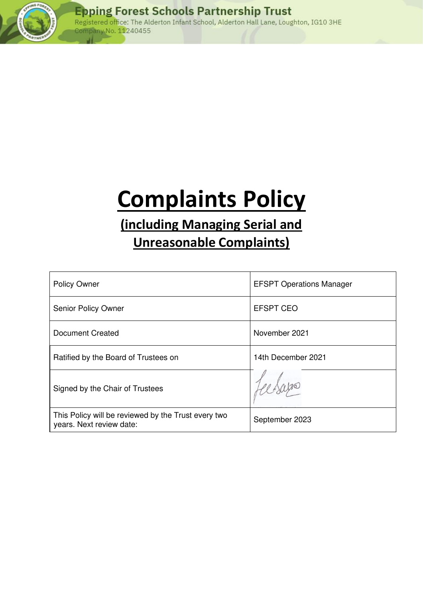

# **Complaints Policy**

## **(including Managing Serial and**

### **Unreasonable Complaints)**

| <b>Policy Owner</b>                                                             | <b>EFSPT Operations Manager</b> |
|---------------------------------------------------------------------------------|---------------------------------|
| <b>Senior Policy Owner</b>                                                      | <b>EFSPT CEO</b>                |
| <b>Document Created</b>                                                         | November 2021                   |
| Ratified by the Board of Trustees on                                            | 14th December 2021              |
| Signed by the Chair of Trustees                                                 |                                 |
| This Policy will be reviewed by the Trust every two<br>years. Next review date: | September 2023                  |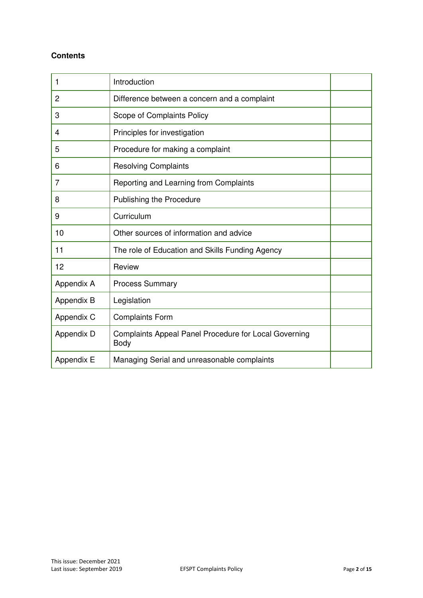#### **Contents**

| 1          | Introduction                                                  |  |
|------------|---------------------------------------------------------------|--|
| 2          | Difference between a concern and a complaint                  |  |
| 3          | Scope of Complaints Policy                                    |  |
| 4          | Principles for investigation                                  |  |
| 5          | Procedure for making a complaint                              |  |
| 6          | <b>Resolving Complaints</b>                                   |  |
| 7          | Reporting and Learning from Complaints                        |  |
| 8          | Publishing the Procedure                                      |  |
| 9          | Curriculum                                                    |  |
| 10         | Other sources of information and advice                       |  |
| 11         | The role of Education and Skills Funding Agency               |  |
| 12         | Review                                                        |  |
| Appendix A | <b>Process Summary</b>                                        |  |
| Appendix B | Legislation                                                   |  |
| Appendix C | <b>Complaints Form</b>                                        |  |
| Appendix D | Complaints Appeal Panel Procedure for Local Governing<br>Body |  |
| Appendix E | Managing Serial and unreasonable complaints                   |  |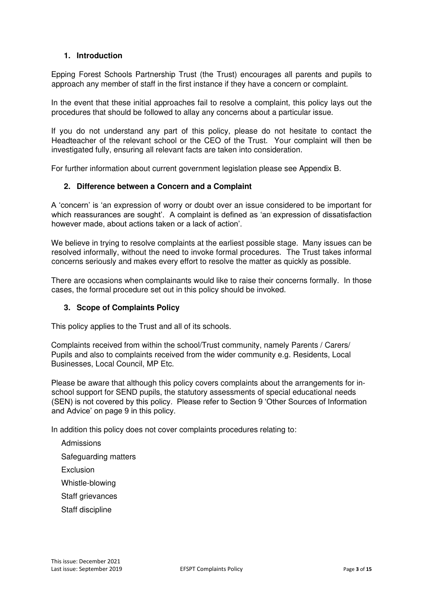#### **1. Introduction**

Epping Forest Schools Partnership Trust (the Trust) encourages all parents and pupils to approach any member of staff in the first instance if they have a concern or complaint.

In the event that these initial approaches fail to resolve a complaint, this policy lays out the procedures that should be followed to allay any concerns about a particular issue.

If you do not understand any part of this policy, please do not hesitate to contact the Headteacher of the relevant school or the CEO of the Trust. Your complaint will then be investigated fully, ensuring all relevant facts are taken into consideration.

For further information about current government legislation please see Appendix B.

#### **2. Difference between a Concern and a Complaint**

A 'concern' is 'an expression of worry or doubt over an issue considered to be important for which reassurances are sought'. A complaint is defined as 'an expression of dissatisfaction however made, about actions taken or a lack of action'.

We believe in trying to resolve complaints at the earliest possible stage. Many issues can be resolved informally, without the need to invoke formal procedures. The Trust takes informal concerns seriously and makes every effort to resolve the matter as quickly as possible.

There are occasions when complainants would like to raise their concerns formally. In those cases, the formal procedure set out in this policy should be invoked.

#### **3. Scope of Complaints Policy**

This policy applies to the Trust and all of its schools.

Complaints received from within the school/Trust community, namely Parents / Carers/ Pupils and also to complaints received from the wider community e.g. Residents, Local Businesses, Local Council, MP Etc.

Please be aware that although this policy covers complaints about the arrangements for inschool support for SEND pupils, the statutory assessments of special educational needs (SEN) is not covered by this policy. Please refer to Section 9 'Other Sources of Information and Advice' on page 9 in this policy.

In addition this policy does not cover complaints procedures relating to:

- Admissions
- Safeguarding matters
- **Exclusion**
- Whistle-blowing
- Staff grievances
- Staff discipline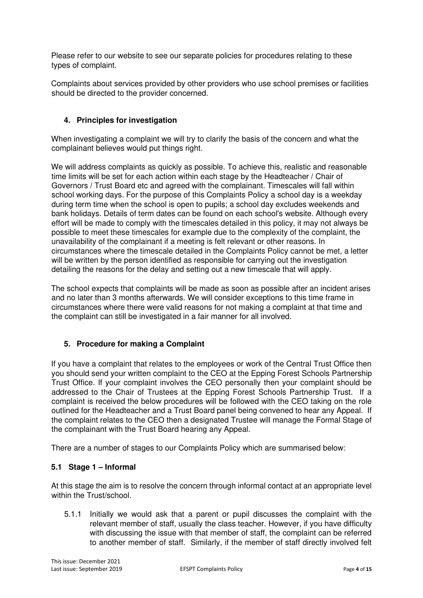Please refer to our website to see our separate policies for procedures relating to these types of complaint.

Complaints about services provided by other providers who use school premises or facilities should be directed to the provider concerned.

#### **4. Principles for investigation**

When investigating a complaint we will try to clarify the basis of the concern and what the complainant believes would put things right.

We will address complaints as quickly as possible. To achieve this, realistic and reasonable time limits will be set for each action within each stage by the Headteacher / Chair of Governors / Trust Board etc and agreed with the complainant. Timescales will fall within school working days. For the purpose of this Complaints Policy a school day is a weekday during term time when the school is open to pupils; a school day excludes weekends and bank holidays. Details of term dates can be found on each school's website. Although every effort will be made to comply with the timescales detailed in this policy, it may not always be possible to meet these timescales for example due to the complexity of the complaint, the unavailability of the complainant if a meeting is felt relevant or other reasons. In circumstances where the timescale detailed in the Complaints Policy cannot be met, a letter will be written by the person identified as responsible for carrying out the investigation detailing the reasons for the delay and setting out a new timescale that will apply.

The school expects that complaints will be made as soon as possible after an incident arises and no later than 3 months afterwards. We will consider exceptions to this time frame in circumstances where there were valid reasons for not making a complaint at that time and the complaint can still be investigated in a fair manner for all involved.

#### **5. Procedure for making a Complaint**

If you have a complaint that relates to the employees or work of the Central Trust Office then you should send your written complaint to the CEO at the Epping Forest Schools Partnership Trust Office. If your complaint involves the CEO personally then your complaint should be addressed to the Chair of Trustees at the Epping Forest Schools Partnership Trust. If a complaint is received the below procedures will be followed with the CEO taking on the role outlined for the Headteacher and a Trust Board panel being convened to hear any Appeal. If the complaint relates to the CEO then a designated Trustee will manage the Formal Stage of the complainant with the Trust Board hearing any Appeal.

There are a number of stages to our Complaints Policy which are summarised below:

#### **5.1 Stage 1 – Informal**

At this stage the aim is to resolve the concern through informal contact at an appropriate level within the Trust/school

5.1.1 Initially we would ask that a parent or pupil discusses the complaint with the relevant member of staff, usually the class teacher. However, if you have difficulty with discussing the issue with that member of staff, the complaint can be referred to another member of staff. Similarly, if the member of staff directly involved felt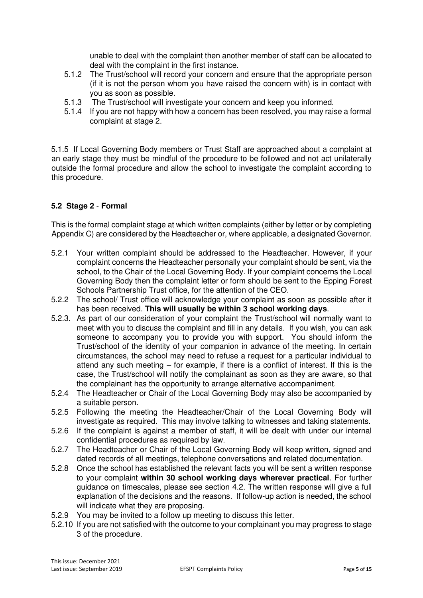unable to deal with the complaint then another member of staff can be allocated to deal with the complaint in the first instance.

- 5.1.2 The Trust/school will record your concern and ensure that the appropriate person (if it is not the person whom you have raised the concern with) is in contact with you as soon as possible.
- 5.1.3 The Trust/school will investigate your concern and keep you informed.
- 5.1.4 If you are not happy with how a concern has been resolved, you may raise a formal complaint at stage 2.

5.1.5 If Local Governing Body members or Trust Staff are approached about a complaint at an early stage they must be mindful of the procedure to be followed and not act unilaterally outside the formal procedure and allow the school to investigate the complaint according to this procedure.

#### **5.2 Stage 2** - **Formal**

This is the formal complaint stage at which written complaints (either by letter or by completing Appendix C) are considered by the Headteacher or, where applicable, a designated Governor.

- 5.2.1 Your written complaint should be addressed to the Headteacher. However, if your complaint concerns the Headteacher personally your complaint should be sent, via the school, to the Chair of the Local Governing Body. If your complaint concerns the Local Governing Body then the complaint letter or form should be sent to the Epping Forest Schools Partnership Trust office, for the attention of the CEO.
- 5.2.2 The school/ Trust office will acknowledge your complaint as soon as possible after it has been received. **This will usually be within 3 school working days**.
- 5.2.3. As part of our consideration of your complaint the Trust/school will normally want to meet with you to discuss the complaint and fill in any details. If you wish, you can ask someone to accompany you to provide you with support. You should inform the Trust/school of the identity of your companion in advance of the meeting. In certain circumstances, the school may need to refuse a request for a particular individual to attend any such meeting – for example, if there is a conflict of interest. If this is the case, the Trust/school will notify the complainant as soon as they are aware, so that the complainant has the opportunity to arrange alternative accompaniment.
- 5.2.4 The Headteacher or Chair of the Local Governing Body may also be accompanied by a suitable person.
- 5.2.5 Following the meeting the Headteacher/Chair of the Local Governing Body will investigate as required. This may involve talking to witnesses and taking statements.
- 5.2.6 If the complaint is against a member of staff, it will be dealt with under our internal confidential procedures as required by law.
- 5.2.7 The Headteacher or Chair of the Local Governing Body will keep written, signed and dated records of all meetings, telephone conversations and related documentation.
- 5.2.8 Once the school has established the relevant facts you will be sent a written response to your complaint **within 30 school working days wherever practical**. For further guidance on timescales, please see section 4.2. The written response will give a full explanation of the decisions and the reasons. If follow-up action is needed, the school will indicate what they are proposing.
- 5.2.9 You may be invited to a follow up meeting to discuss this letter.
- 5.2.10 If you are not satisfied with the outcome to your complainant you may progress to stage 3 of the procedure.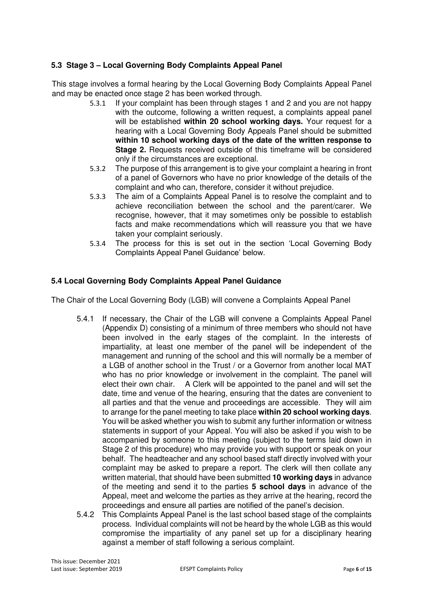#### **5.3 Stage 3 – Local Governing Body Complaints Appeal Panel**

This stage involves a formal hearing by the Local Governing Body Complaints Appeal Panel and may be enacted once stage 2 has been worked through.

- 5.3.1 If your complaint has been through stages 1 and 2 and you are not happy with the outcome, following a written request, a complaints appeal panel will be established **within 20 school working days.** Your request for a hearing with a Local Governing Body Appeals Panel should be submitted **within 10 school working days of the date of the written response to Stage 2.** Requests received outside of this timeframe will be considered only if the circumstances are exceptional.
- 5.3.2 The purpose of this arrangement is to give your complaint a hearing in front of a panel of Governors who have no prior knowledge of the details of the complaint and who can, therefore, consider it without prejudice.
- 5.3.3 The aim of a Complaints Appeal Panel is to resolve the complaint and to achieve reconciliation between the school and the parent/carer. We recognise, however, that it may sometimes only be possible to establish facts and make recommendations which will reassure you that we have taken your complaint seriously.
- 5.3.4 The process for this is set out in the section 'Local Governing Body Complaints Appeal Panel Guidance' below.

#### **5.4 Local Governing Body Complaints Appeal Panel Guidance**

The Chair of the Local Governing Body (LGB) will convene a Complaints Appeal Panel

- 5.4.1 If necessary, the Chair of the LGB will convene a Complaints Appeal Panel (Appendix D) consisting of a minimum of three members who should not have been involved in the early stages of the complaint. In the interests of impartiality, at least one member of the panel will be independent of the management and running of the school and this will normally be a member of a LGB of another school in the Trust / or a Governor from another local MAT who has no prior knowledge or involvement in the complaint. The panel will elect their own chair. A Clerk will be appointed to the panel and will set the date, time and venue of the hearing, ensuring that the dates are convenient to all parties and that the venue and proceedings are accessible. They will aim to arrange for the panel meeting to take place **within 20 school working days**. You will be asked whether you wish to submit any further information or witness statements in support of your Appeal. You will also be asked if you wish to be accompanied by someone to this meeting (subject to the terms laid down in Stage 2 of this procedure) who may provide you with support or speak on your behalf. The headteacher and any school based staff directly involved with your complaint may be asked to prepare a report. The clerk will then collate any written material, that should have been submitted **10 working days** in advance of the meeting and send it to the parties **5 school days** in advance of the Appeal, meet and welcome the parties as they arrive at the hearing, record the proceedings and ensure all parties are notified of the panel's decision.
- 5.4.2 This Complaints Appeal Panel is the last school based stage of the complaints process. Individual complaints will not be heard by the whole LGB as this would compromise the impartiality of any panel set up for a disciplinary hearing against a member of staff following a serious complaint.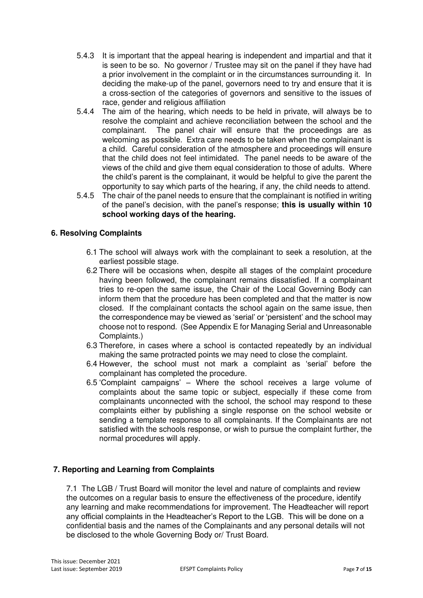- 5.4.3 It is important that the appeal hearing is independent and impartial and that it is seen to be so. No governor / Trustee may sit on the panel if they have had a prior involvement in the complaint or in the circumstances surrounding it. In deciding the make-up of the panel, governors need to try and ensure that it is a cross-section of the categories of governors and sensitive to the issues of race, gender and religious affiliation
- 5.4.4 The aim of the hearing, which needs to be held in private, will always be to resolve the complaint and achieve reconciliation between the school and the complainant. The panel chair will ensure that the proceedings are as welcoming as possible. Extra care needs to be taken when the complainant is a child. Careful consideration of the atmosphere and proceedings will ensure that the child does not feel intimidated. The panel needs to be aware of the views of the child and give them equal consideration to those of adults. Where the child's parent is the complainant, it would be helpful to give the parent the opportunity to say which parts of the hearing, if any, the child needs to attend.
- 5.4.5 The chair of the panel needs to ensure that the complainant is notified in writing of the panel's decision, with the panel's response; **this is usually within 10 school working days of the hearing.**

#### **6. Resolving Complaints**

- 6.1 The school will always work with the complainant to seek a resolution, at the earliest possible stage.
- 6.2 There will be occasions when, despite all stages of the complaint procedure having been followed, the complainant remains dissatisfied. If a complainant tries to re-open the same issue, the Chair of the Local Governing Body can inform them that the procedure has been completed and that the matter is now closed. If the complainant contacts the school again on the same issue, then the correspondence may be viewed as 'serial' or 'persistent' and the school may choose not to respond. (See Appendix E for Managing Serial and Unreasonable Complaints.)
- 6.3 Therefore, in cases where a school is contacted repeatedly by an individual making the same protracted points we may need to close the complaint.
- 6.4 However, the school must not mark a complaint as 'serial' before the complainant has completed the procedure.
- 6.5 'Complaint campaigns' Where the school receives a large volume of complaints about the same topic or subject, especially if these come from complainants unconnected with the school, the school may respond to these complaints either by publishing a single response on the school website or sending a template response to all complainants. If the Complainants are not satisfied with the schools response, or wish to pursue the complaint further, the normal procedures will apply.

#### **7. Reporting and Learning from Complaints**

7.1 The LGB / Trust Board will monitor the level and nature of complaints and review the outcomes on a regular basis to ensure the effectiveness of the procedure, identify any learning and make recommendations for improvement. The Headteacher will report any official complaints in the Headteacher's Report to the LGB. This will be done on a confidential basis and the names of the Complainants and any personal details will not be disclosed to the whole Governing Body or/ Trust Board.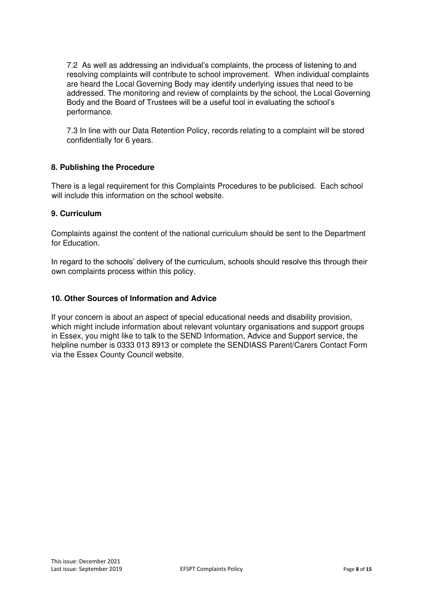7.2 As well as addressing an individual's complaints, the process of listening to and resolving complaints will contribute to school improvement. When individual complaints are heard the Local Governing Body may identify underlying issues that need to be addressed. The monitoring and review of complaints by the school, the Local Governing Body and the Board of Trustees will be a useful tool in evaluating the school's performance.

7.3 In line with our Data Retention Policy, records relating to a complaint will be stored confidentially for 6 years.

#### **8. Publishing the Procedure**

There is a legal requirement for this Complaints Procedures to be publicised. Each school will include this information on the school website.

#### **9. Curriculum**

Complaints against the content of the national curriculum should be sent to the Department for Education.

In regard to the schools' delivery of the curriculum, schools should resolve this through their own complaints process within this policy.

#### **10. Other Sources of Information and Advice**

If your concern is about an aspect of special educational needs and disability provision, which might include information about relevant voluntary organisations and support groups in Essex, you might like to talk to the SEND Information, Advice and Support service, the helpline number is 0333 013 8913 or complete the SENDIASS Parent/Carers Contact Form via the Essex County Council website.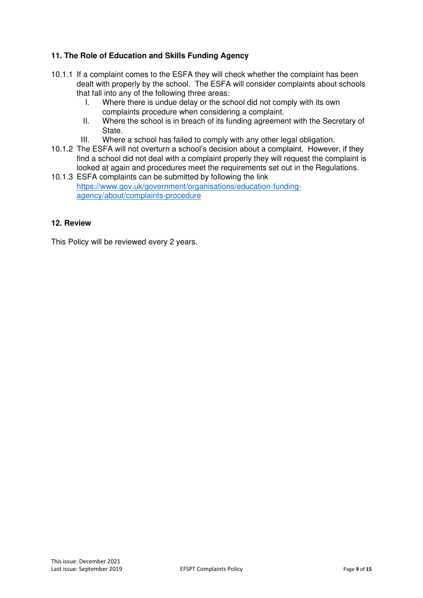#### **11. The Role of Education and Skills Funding Agency**

- 10.1.1 If a complaint comes to the ESFA they will check whether the complaint has been dealt with properly by the school. The ESFA will consider complaints about schools that fall into any of the following three areas:
	- I. Where there is undue delay or the school did not comply with its own complaints procedure when considering a complaint.
	- II. Where the school is in breach of its funding agreement with the Secretary of State.
	- III. Where a school has failed to comply with any other legal obligation.
- 10.1.2 The ESFA will not overturn a school's decision about a complaint. However, if they find a school did not deal with a complaint properly they will request the complaint is looked at again and procedures meet the requirements set out in the Regulations.
- 10.1.3 ESFA complaints can be submitted by following the link https://www.gov.uk/government/organisations/education-fundingagency/about/complaints-procedure

#### **12. Review**

This Policy will be reviewed every 2 years.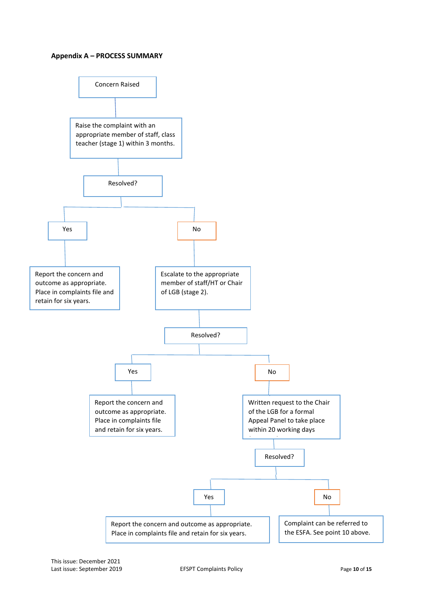#### **Appendix A – PROCESS SUMMARY**

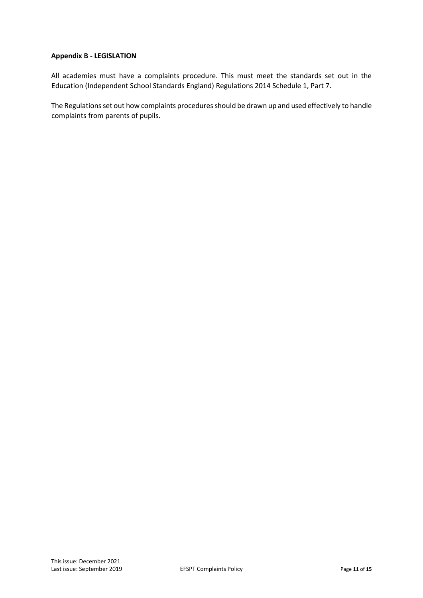#### **Appendix B - LEGISLATION**

All academies must have a complaints procedure. This must meet the standards set out in the Education (Independent School Standards England) Regulations 2014 Schedule 1, Part 7.

The Regulations set out how complaints procedures should be drawn up and used effectively to handle complaints from parents of pupils.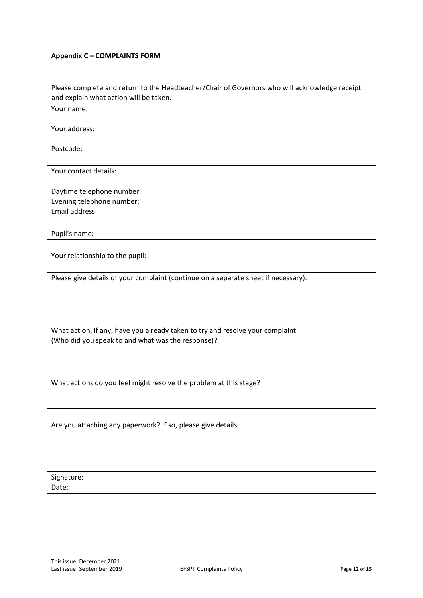#### **Appendix C – COMPLAINTS FORM**

Please complete and return to the Headteacher/Chair of Governors who will acknowledge receipt and explain what action will be taken.

Your name:

Your address:

Postcode:

Your contact details:

Daytime telephone number: Evening telephone number: Email address:

Pupil's name:

Your relationship to the pupil:

Please give details of your complaint (continue on a separate sheet if necessary):

What action, if any, have you already taken to try and resolve your complaint. (Who did you speak to and what was the response)?

What actions do you feel might resolve the problem at this stage?

Are you attaching any paperwork? If so, please give details.

Signature: Date: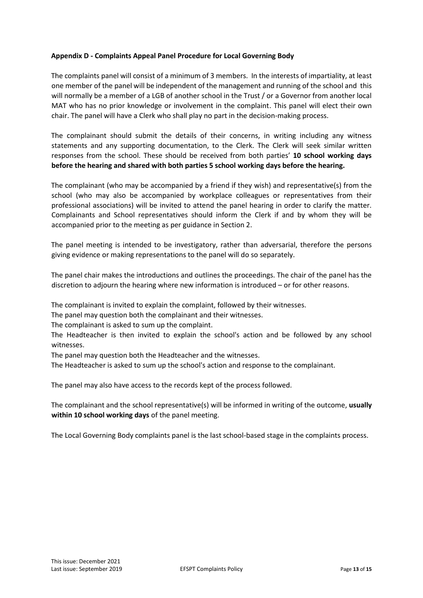#### **Appendix D - Complaints Appeal Panel Procedure for Local Governing Body**

The complaints panel will consist of a minimum of 3 members. In the interests of impartiality, at least one member of the panel will be independent of the management and running of the school and this will normally be a member of a LGB of another school in the Trust / or a Governor from another local MAT who has no prior knowledge or involvement in the complaint. This panel will elect their own chair. The panel will have a Clerk who shall play no part in the decision-making process.

The complainant should submit the details of their concerns, in writing including any witness statements and any supporting documentation, to the Clerk. The Clerk will seek similar written responses from the school. These should be received from both parties' **10 school working days before the hearing and shared with both parties 5 school working days before the hearing.**

The complainant (who may be accompanied by a friend if they wish) and representative(s) from the school (who may also be accompanied by workplace colleagues or representatives from their professional associations) will be invited to attend the panel hearing in order to clarify the matter. Complainants and School representatives should inform the Clerk if and by whom they will be accompanied prior to the meeting as per guidance in Section 2.

The panel meeting is intended to be investigatory, rather than adversarial, therefore the persons giving evidence or making representations to the panel will do so separately.

The panel chair makes the introductions and outlines the proceedings. The chair of the panel has the discretion to adjourn the hearing where new information is introduced – or for other reasons.

The complainant is invited to explain the complaint, followed by their witnesses.

The panel may question both the complainant and their witnesses.

The complainant is asked to sum up the complaint.

The Headteacher is then invited to explain the school's action and be followed by any school witnesses.

The panel may question both the Headteacher and the witnesses.

The Headteacher is asked to sum up the school's action and response to the complainant.

The panel may also have access to the records kept of the process followed.

The complainant and the school representative(s) will be informed in writing of the outcome, **usually within 10 school working days** of the panel meeting.

The Local Governing Body complaints panel is the last school-based stage in the complaints process.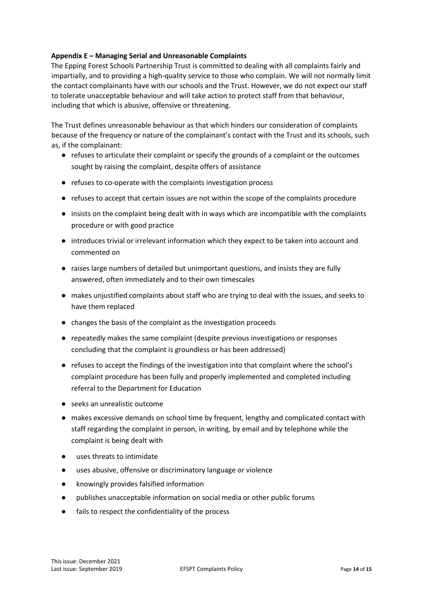#### **Appendix E – Managing Serial and Unreasonable Complaints**

The Epping Forest Schools Partnership Trust is committed to dealing with all complaints fairly and impartially, and to providing a high-quality service to those who complain. We will not normally limit the contact complainants have with our schools and the Trust. However, we do not expect our staff to tolerate unacceptable behaviour and will take action to protect staff from that behaviour, including that which is abusive, offensive or threatening.

The Trust defines unreasonable behaviour as that which hinders our consideration of complaints because of the frequency or nature of the complainant's contact with the Trust and its schools, such as, if the complainant:

- refuses to articulate their complaint or specify the grounds of a complaint or the outcomes sought by raising the complaint, despite offers of assistance
- refuses to co-operate with the complaints investigation process
- refuses to accept that certain issues are not within the scope of the complaints procedure
- insists on the complaint being dealt with in ways which are incompatible with the complaints procedure or with good practice
- introduces trivial or irrelevant information which they expect to be taken into account and commented on
- raises large numbers of detailed but unimportant questions, and insists they are fully answered, often immediately and to their own timescales
- makes unjustified complaints about staff who are trying to deal with the issues, and seeks to have them replaced
- changes the basis of the complaint as the investigation proceeds
- repeatedly makes the same complaint (despite previous investigations or responses concluding that the complaint is groundless or has been addressed)
- refuses to accept the findings of the investigation into that complaint where the school's complaint procedure has been fully and properly implemented and completed including referral to the Department for Education
- seeks an unrealistic outcome
- makes excessive demands on school time by frequent, lengthy and complicated contact with staff regarding the complaint in person, in writing, by email and by telephone while the complaint is being dealt with
- uses threats to intimidate
- uses abusive, offensive or discriminatory language or violence
- knowingly provides falsified information
- publishes unacceptable information on social media or other public forums
- fails to respect the confidentiality of the process